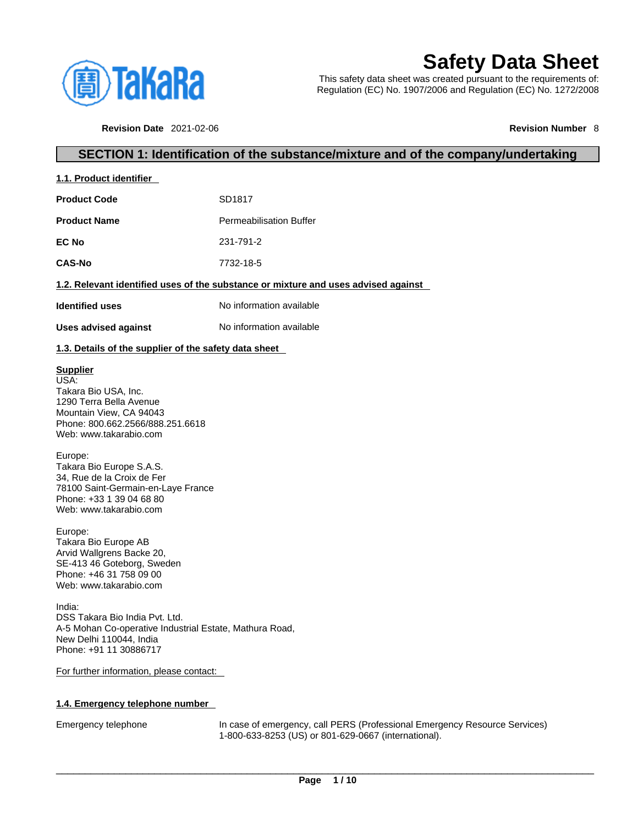

# **Safety Data Sheet**

This safety data sheet was created pursuant to the requirements of: Regulation (EC) No. 1907/2006 and Regulation (EC) No. 1272/2008

**Revision Date** 2021-02-06 **Revision Number** 8

## **SECTION 1: Identification of the substance/mixture and of the company/undertaking**

| 1.1. Product identifier |                                                                                    |
|-------------------------|------------------------------------------------------------------------------------|
| <b>Product Code</b>     | SD1817                                                                             |
| <b>Product Name</b>     | <b>Permeabilisation Buffer</b>                                                     |
| <b>EC No</b>            | 231-791-2                                                                          |
| <b>CAS-No</b>           | 7732-18-5                                                                          |
|                         | 1.2. Relevant identified uses of the substance or mixture and uses advised against |
| <b>Identified uses</b>  | No information available                                                           |
| Uses advised against    | No information available                                                           |

**1.3. Details of the supplier of the safety data sheet**

#### **Supplier**

USA: Takara Bio USA, Inc. 1290 Terra Bella Avenue Mountain View, CA 94043 Phone: 800.662.2566/888.251.6618 Web: www.takarabio.com

#### Europe:

Takara Bio Europe S.A.S. 34, Rue de la Croix de Fer 78100 Saint-Germain-en-Laye France Phone: +33 1 39 04 68 80 Web: www.takarabio.com

Europe:

Takara Bio Europe AB Arvid Wallgrens Backe 20, SE-413 46 Goteborg, Sweden Phone: +46 31 758 09 00 Web: www.takarabio.com

India: DSS Takara Bio India Pvt. Ltd. A-5 Mohan Co-operative Industrial Estate, Mathura Road, New Delhi 110044, India Phone: +91 11 30886717

#### For further information, please contact:

#### **1.4. Emergency telephone number**

Emergency telephone In case of emergency, call PERS (Professional Emergency Resource Services) 1-800-633-8253 (US) or 801-629-0667 (international).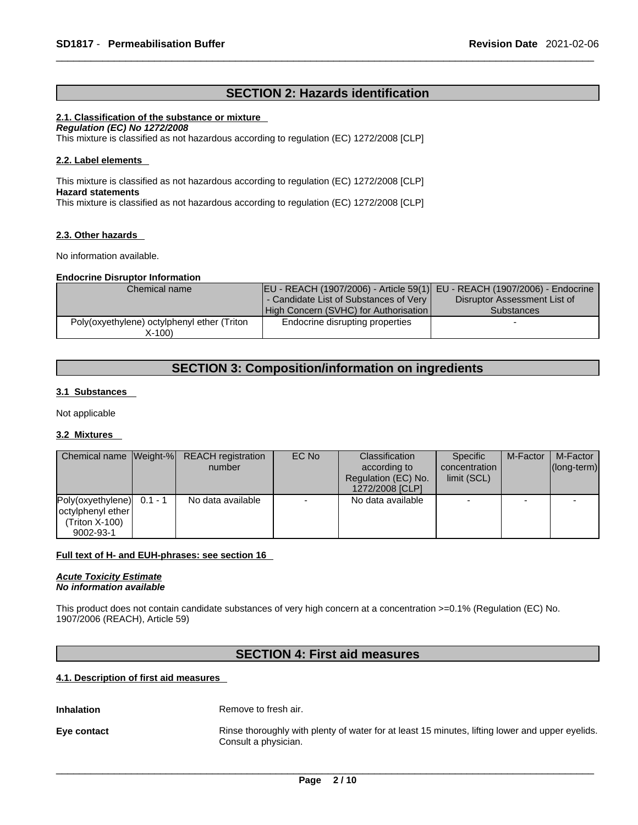## **SECTION 2: Hazards identification**

#### **2.1. Classification of the substance or mixture**

*Regulation (EC) No 1272/2008* 

This mixture is classified as not hazardous according to regulation (EC) 1272/2008 [CLP]

#### **2.2. Label elements**

This mixture is classified as not hazardous according to regulation (EC) 1272/2008 [CLP] **Hazard statements** This mixture is classified as not hazardous according to regulation (EC) 1272/2008 [CLP]

#### **2.3. Other hazards**

No information available.

#### **Endocrine Disruptor Information**

| Chemical name                               | EU - REACH (1907/2006) - Article 59(1) EU - REACH (1907/2006) - Endocrine |                              |
|---------------------------------------------|---------------------------------------------------------------------------|------------------------------|
|                                             | - Candidate List of Substances of Very                                    | Disruptor Assessment List of |
|                                             | High Concern (SVHC) for Authorisation                                     | <b>Substances</b>            |
| Poly(oxyethylene) octylphenyl ether (Triton | Endocrine disrupting properties                                           |                              |
| X-100)                                      |                                                                           |                              |

## **SECTION 3: Composition/information on ingredients**

#### **3.1 Substances**

Not applicable

#### **3.2 Mixtures**

|                   |           | Chemical name Weight-% REACH registration | EC No | <b>Classification</b> | Specific      | M-Factor | M-Factor            |
|-------------------|-----------|-------------------------------------------|-------|-----------------------|---------------|----------|---------------------|
|                   |           | number                                    |       | according to          | concentration |          | $ $ (long-term) $ $ |
|                   |           |                                           |       | Regulation (EC) No.   | limit (SCL)   |          |                     |
|                   |           |                                           |       | 1272/2008 [CLP]       |               |          |                     |
| Poly(oxyethylene) | $0.1 - 1$ | No data available                         |       | No data available     |               |          |                     |
| octylphenyl ether |           |                                           |       |                       |               |          |                     |
| (Triton X-100)    |           |                                           |       |                       |               |          |                     |
| 9002-93-1         |           |                                           |       |                       |               |          |                     |

#### **Full text of H- and EUH-phrases: see section 16**

*Acute Toxicity Estimate No information available* 

This product does not contain candidate substances of very high concern at a concentration >=0.1% (Regulation (EC) No. 1907/2006 (REACH), Article 59)

## **SECTION 4: First aid measures**

#### **4.1. Description of first aid measures**

**Inhalation** Remove to fresh air.

**Eye contact Rinse thoroughly with plenty of water for at least 15 minutes, lifting lower and upper eyelids.** Consult a physician.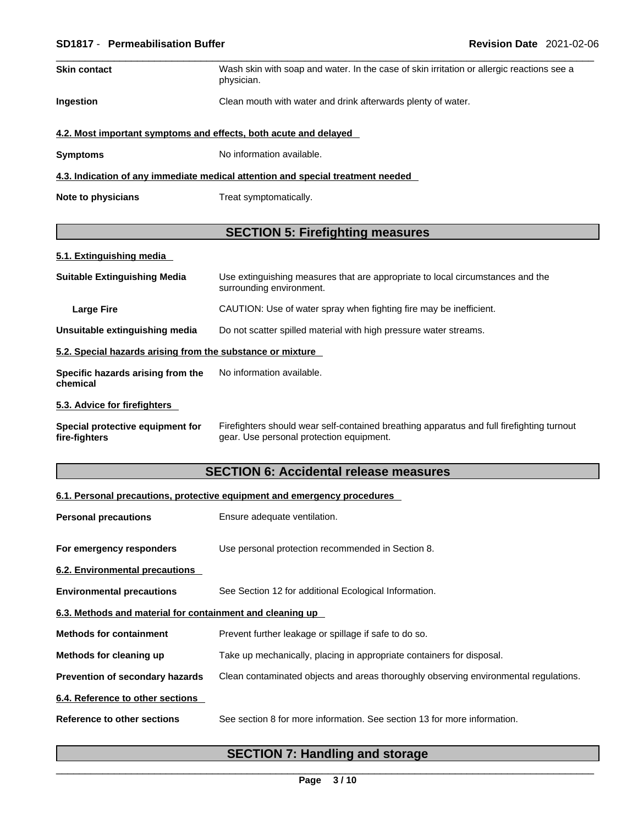#### \_\_\_\_\_\_\_\_\_\_\_\_\_\_\_\_\_\_\_\_\_\_\_\_\_\_\_\_\_\_\_\_\_\_\_\_\_\_\_\_\_\_\_\_\_\_\_\_\_\_\_\_\_\_\_\_\_\_\_\_\_\_\_\_\_\_\_\_\_\_\_\_\_\_\_\_\_\_\_\_\_\_\_\_\_\_\_\_\_\_\_\_\_ **SD1817** - **Permeabilisation Buffer Revision Date** 2021-02-06

| <b>Skin contact</b> | Wash skin with soap and water. In the case of skin irritation or allergic reactions see a<br>physician. |
|---------------------|---------------------------------------------------------------------------------------------------------|
| <b>Ingestion</b>    | Clean mouth with water and drink afterwards plenty of water.                                            |

### **4.2. Most important symptoms and effects, both acute and delayed**

**Symptoms** No information available.

#### **4.3. Indication of any immediate medical attention and special treatment needed**

**Note to physicians** Treat symptomatically.

## **SECTION 5: Firefighting measures**

|  | 5.1. Extinguishing media |  |
|--|--------------------------|--|
|  |                          |  |

| <b>Suitable Extinguishing Media</b>                        | Use extinguishing measures that are appropriate to local circumstances and the<br>surrounding environment. |
|------------------------------------------------------------|------------------------------------------------------------------------------------------------------------|
| Large Fire                                                 | CAUTION: Use of water spray when fighting fire may be inefficient.                                         |
| Unsuitable extinguishing media                             | Do not scatter spilled material with high pressure water streams.                                          |
| 5.2. Special hazards arising from the substance or mixture |                                                                                                            |
| Specific hazards arising from the<br>chemical              | No information available.                                                                                  |
| 5.3. Advice for firefighters                               |                                                                                                            |

#### **Special protective equipment for fire-fighters** Firefighters should wear self-contained breathing apparatus and full firefighting turnout gear. Use personal protection equipment.

## **SECTION 6: Accidental release measures**

#### **6.1. Personal precautions, protective equipment and emergency procedures**

| <b>Personal precautions</b>                               | Ensure adequate ventilation.                                                         |
|-----------------------------------------------------------|--------------------------------------------------------------------------------------|
| For emergency responders                                  | Use personal protection recommended in Section 8.                                    |
| 6.2. Environmental precautions                            |                                                                                      |
| <b>Environmental precautions</b>                          | See Section 12 for additional Ecological Information.                                |
| 6.3. Methods and material for containment and cleaning up |                                                                                      |
| <b>Methods for containment</b>                            | Prevent further leakage or spillage if safe to do so.                                |
| Methods for cleaning up                                   | Take up mechanically, placing in appropriate containers for disposal.                |
| <b>Prevention of secondary hazards</b>                    | Clean contaminated objects and areas thoroughly observing environmental regulations. |
| 6.4. Reference to other sections                          |                                                                                      |
| Reference to other sections                               | See section 8 for more information. See section 13 for more information.             |

## **SECTION 7: Handling and storage**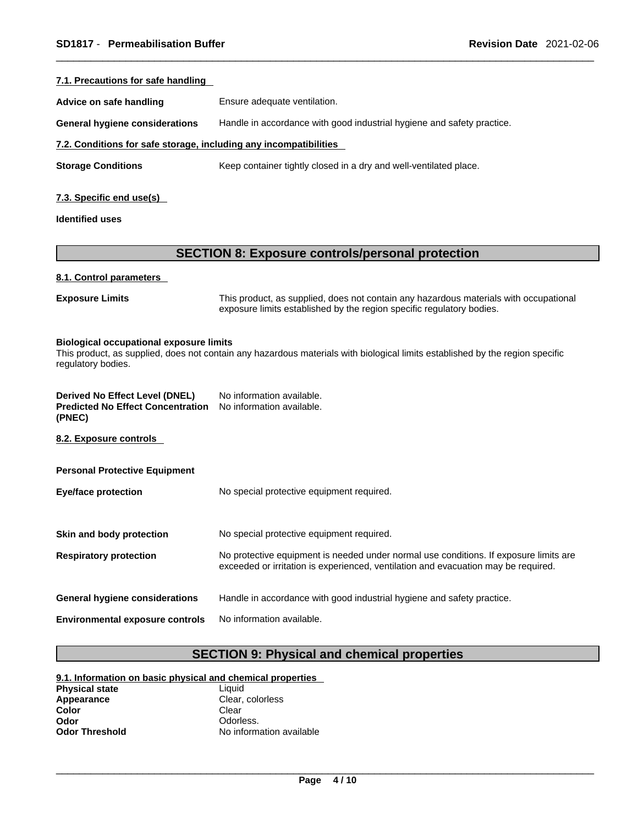| Ensure adequate ventilation.                                                                                                                                   |
|----------------------------------------------------------------------------------------------------------------------------------------------------------------|
| Handle in accordance with good industrial hygiene and safety practice.                                                                                         |
| 7.2. Conditions for safe storage, including any incompatibilities                                                                                              |
| Keep container tightly closed in a dry and well-ventilated place.                                                                                              |
|                                                                                                                                                                |
|                                                                                                                                                                |
|                                                                                                                                                                |
|                                                                                                                                                                |
| <b>SECTION 8: Exposure controls/personal protection</b>                                                                                                        |
|                                                                                                                                                                |
| This product, as supplied, does not contain any hazardous materials with occupational<br>exposure limits established by the region specific regulatory bodies. |
|                                                                                                                                                                |

| Derived No Effect Level (DNEL)                                     | No information available. |
|--------------------------------------------------------------------|---------------------------|
| <b>Predicted No Effect Concentration</b> No information available. |                           |
| (PNEC)                                                             |                           |

**8.2. Exposure controls** 

| <b>Personal Protective Equipment</b>   |                                                                                                                                                                             |
|----------------------------------------|-----------------------------------------------------------------------------------------------------------------------------------------------------------------------------|
| <b>Eye/face protection</b>             | No special protective equipment required.                                                                                                                                   |
|                                        |                                                                                                                                                                             |
| Skin and body protection               | No special protective equipment required.                                                                                                                                   |
| <b>Respiratory protection</b>          | No protective equipment is needed under normal use conditions. If exposure limits are<br>exceeded or irritation is experienced, ventilation and evacuation may be required. |
| <b>General hygiene considerations</b>  | Handle in accordance with good industrial hygiene and safety practice.                                                                                                      |
| <b>Environmental exposure controls</b> | No information available.                                                                                                                                                   |
|                                        |                                                                                                                                                                             |

## **SECTION 9: Physical and chemical properties**

| 9.1. Information on basic physical and chemical properties |                          |  |
|------------------------------------------------------------|--------------------------|--|
| <b>Physical state</b>                                      | Liauid                   |  |
| Appearance                                                 | Clear, colorless         |  |
| Color                                                      | Clear                    |  |
| Odor                                                       | Odorless.                |  |
| <b>Odor Threshold</b>                                      | No information available |  |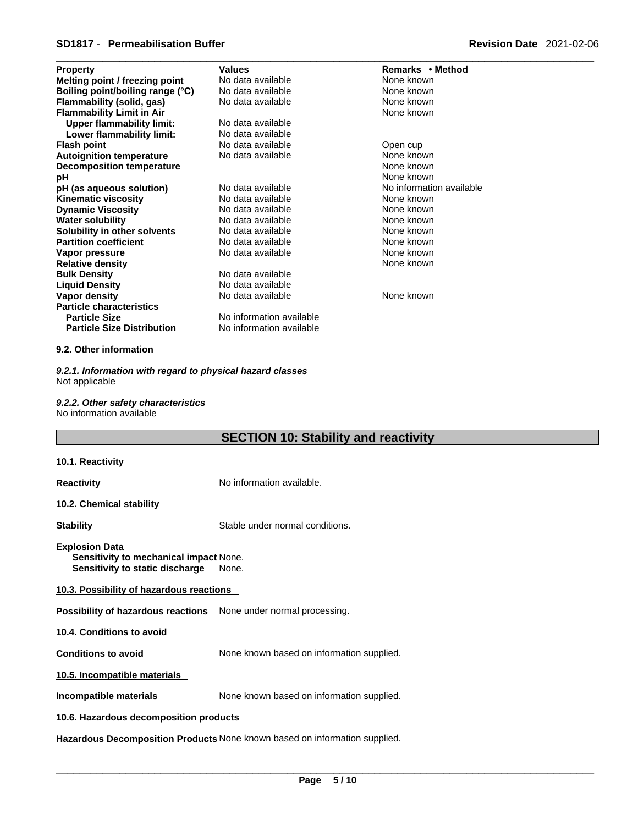| <b>Property</b>                   | <b>Values</b>            | Remarks • Method         |
|-----------------------------------|--------------------------|--------------------------|
| Melting point / freezing point    | No data available        | None known               |
| Boiling point/boiling range (°C)  | No data available        | None known               |
| Flammability (solid, gas)         | No data available        | None known               |
| <b>Flammability Limit in Air</b>  |                          | None known               |
| <b>Upper flammability limit:</b>  | No data available        |                          |
| Lower flammability limit:         | No data available        |                          |
| <b>Flash point</b>                | No data available        | Open cup                 |
| <b>Autoignition temperature</b>   | No data available        | None known               |
| <b>Decomposition temperature</b>  |                          | None known               |
| рH                                |                          | None known               |
| pH (as aqueous solution)          | No data available        | No information available |
| <b>Kinematic viscosity</b>        | No data available        | None known               |
| <b>Dynamic Viscosity</b>          | No data available        | None known               |
| <b>Water solubility</b>           | No data available        | None known               |
| Solubility in other solvents      | No data available        | None known               |
| <b>Partition coefficient</b>      | No data available        | None known               |
| Vapor pressure                    | No data available        | None known               |
| <b>Relative density</b>           |                          | None known               |
| <b>Bulk Density</b>               | No data available        |                          |
| <b>Liquid Density</b>             | No data available        |                          |
| Vapor density                     | No data available        | None known               |
| <b>Particle characteristics</b>   |                          |                          |
| <b>Particle Size</b>              | No information available |                          |
| <b>Particle Size Distribution</b> | No information available |                          |

#### **9.2. Other information**

*9.2.1. Information with regard to physical hazard classes* Not applicable

*9.2.2. Other safety characteristics* No information available

## **SECTION 10: Stability and reactivity**

#### **10.1. Reactivity**

**Reactivity No information available.** 

#### **10.2. Chemical stability**

**Stability** Stable under normal conditions.

**Explosion Data**

**Sensitivity to mechanical impact** None. **Sensitivity to static discharge** None.

#### **10.3. Possibility of hazardous reactions**

**Possibility of hazardous reactions** None under normal processing.

**10.4. Conditions to avoid** 

**Conditions to avoid** None known based on information supplied.

#### **10.5. Incompatible materials**

**Incompatible materials** None known based on information supplied.

#### **10.6. Hazardous decomposition products**

**Hazardous Decomposition Products** None known based on information supplied.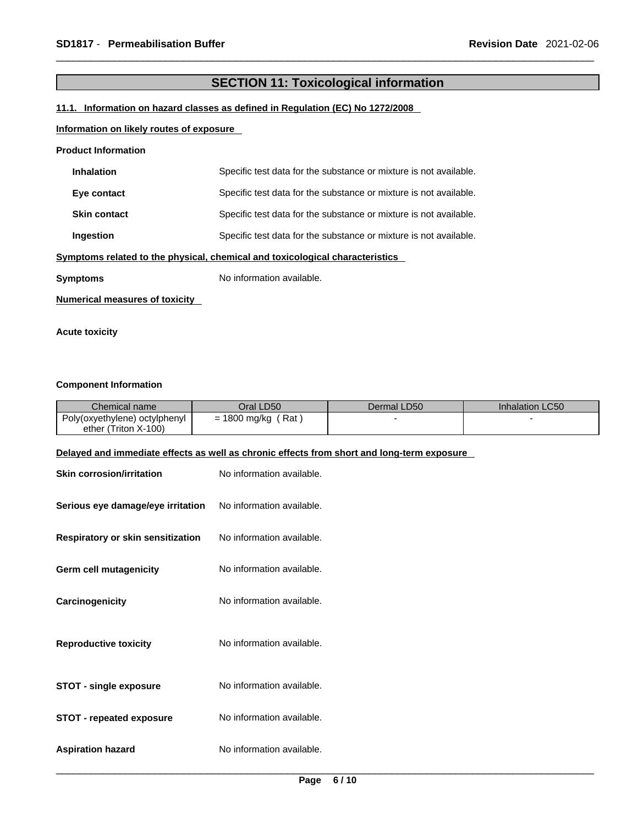## **SECTION 11: Toxicological information**

#### **11.1. Information on hazard classes as defined in Regulation (EC) No 1272/2008**

#### **Information on likely routes of exposure**

#### **Product Information**

| <b>Inhalation</b>                                                            | Specific test data for the substance or mixture is not available. |  |
|------------------------------------------------------------------------------|-------------------------------------------------------------------|--|
| Eye contact                                                                  | Specific test data for the substance or mixture is not available. |  |
| <b>Skin contact</b>                                                          | Specific test data for the substance or mixture is not available. |  |
| Ingestion                                                                    | Specific test data for the substance or mixture is not available. |  |
| Symptoms related to the physical, chemical and toxicological characteristics |                                                                   |  |
| Symptoms                                                                     | No information available.                                         |  |
| Numerical measures of toxicity                                               |                                                                   |  |

**Acute toxicity** 

#### **Component Information**

| Chemical name                                                                              | Oral LD50                 | Dermal LD50 | Inhalation LC50 |
|--------------------------------------------------------------------------------------------|---------------------------|-------------|-----------------|
| Poly(oxyethylene) octylphenyl<br>ether (Triton X-100)                                      | $= 1800$ mg/kg (Rat)      |             |                 |
| Delayed and immediate effects as well as chronic effects from short and long-term exposure |                           |             |                 |
| <b>Skin corrosion/irritation</b>                                                           | No information available. |             |                 |
| Serious eye damage/eye irritation                                                          | No information available. |             |                 |
| Respiratory or skin sensitization                                                          | No information available. |             |                 |
| <b>Germ cell mutagenicity</b>                                                              | No information available. |             |                 |
| Carcinogenicity                                                                            | No information available. |             |                 |
| <b>Reproductive toxicity</b>                                                               | No information available. |             |                 |
| <b>STOT - single exposure</b>                                                              | No information available. |             |                 |
| <b>STOT - repeated exposure</b>                                                            | No information available. |             |                 |
| <b>Aspiration hazard</b>                                                                   | No information available. |             |                 |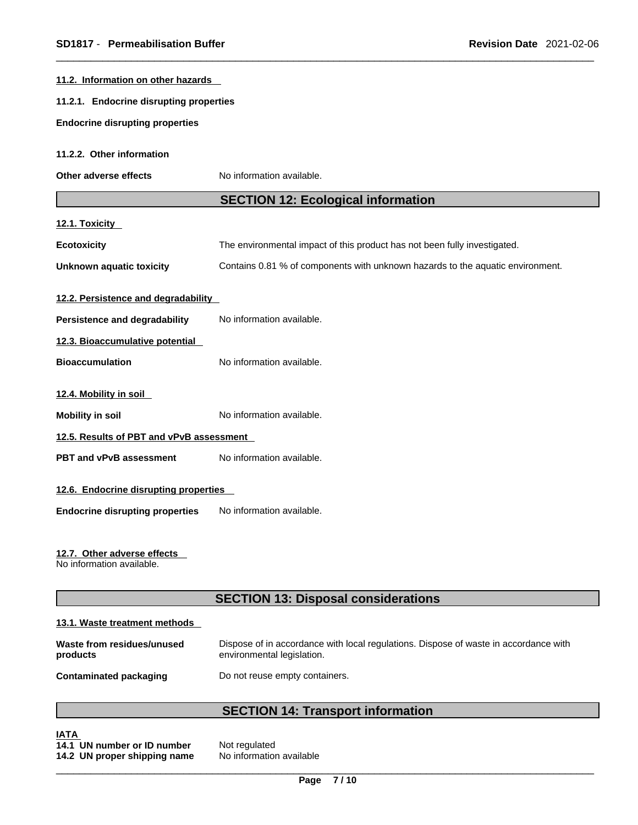| 11.2. Information on other hazards                       |                                                                                                                    |  |
|----------------------------------------------------------|--------------------------------------------------------------------------------------------------------------------|--|
| 11.2.1. Endocrine disrupting properties                  |                                                                                                                    |  |
| <b>Endocrine disrupting properties</b>                   |                                                                                                                    |  |
| 11.2.2. Other information                                |                                                                                                                    |  |
| Other adverse effects                                    | No information available.                                                                                          |  |
|                                                          | <b>SECTION 12: Ecological information</b>                                                                          |  |
| 12.1. Toxicity                                           |                                                                                                                    |  |
| <b>Ecotoxicity</b>                                       | The environmental impact of this product has not been fully investigated.                                          |  |
| Unknown aquatic toxicity                                 | Contains 0.81 % of components with unknown hazards to the aquatic environment.                                     |  |
| 12.2. Persistence and degradability                      |                                                                                                                    |  |
| Persistence and degradability                            | No information available.                                                                                          |  |
| 12.3. Bioaccumulative potential                          |                                                                                                                    |  |
| <b>Bioaccumulation</b>                                   | No information available.                                                                                          |  |
| 12.4. Mobility in soil                                   |                                                                                                                    |  |
| <b>Mobility in soil</b>                                  | No information available.                                                                                          |  |
| 12.5. Results of PBT and vPvB assessment                 |                                                                                                                    |  |
| PBT and vPvB assessment                                  | No information available.                                                                                          |  |
| 12.6. Endocrine disrupting properties                    |                                                                                                                    |  |
| <b>Endocrine disrupting properties</b>                   | No information available.                                                                                          |  |
| 12.7. Other adverse effects<br>No information available. |                                                                                                                    |  |
|                                                          | <b>SECTION 13: Disposal considerations</b>                                                                         |  |
| 13.1. Waste treatment methods                            |                                                                                                                    |  |
| Waste from residues/unused<br>products                   | Dispose of in accordance with local regulations. Dispose of waste in accordance with<br>environmental legislation. |  |
| <b>Contaminated packaging</b>                            | Do not reuse empty containers.                                                                                     |  |
|                                                          | <b>SECTION 14: Transport information</b>                                                                           |  |
| IATA                                                     |                                                                                                                    |  |

**IATA 14.1 UN number or ID number** Not regulated **14.2 UN proper shipping name** No information available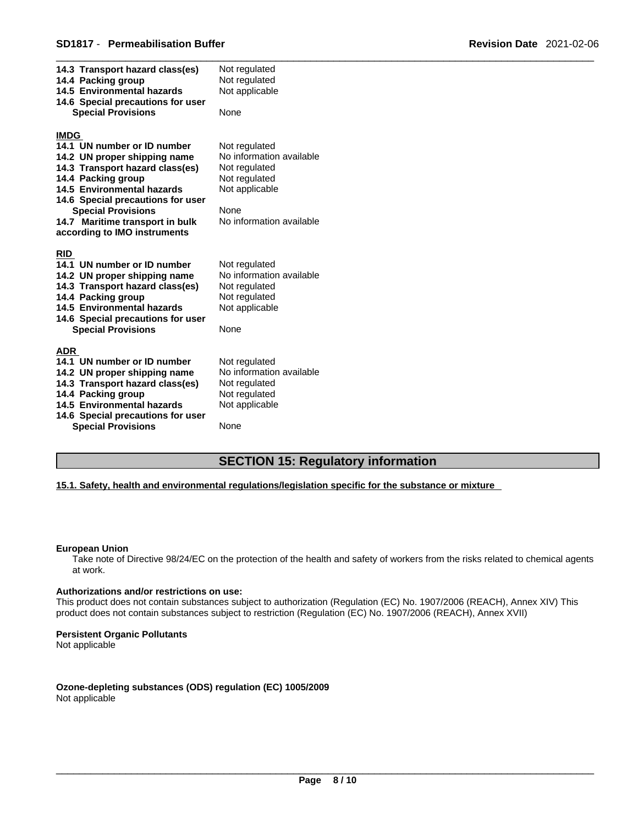| 14.3 Transport hazard class(es)<br>14.4 Packing group<br>14.5 Environmental hazards<br>14.6 Special precautions for user<br><b>Special Provisions</b>                                                                                                                                                  | Not regulated<br>Not regulated<br>Not applicable<br>None                                                                          |
|--------------------------------------------------------------------------------------------------------------------------------------------------------------------------------------------------------------------------------------------------------------------------------------------------------|-----------------------------------------------------------------------------------------------------------------------------------|
| <b>IMDG</b><br>14.1 UN number or ID number<br>14.2 UN proper shipping name<br>14.3 Transport hazard class(es)<br>14.4 Packing group<br>14.5 Environmental hazards<br>14.6 Special precautions for user<br><b>Special Provisions</b><br>14.7 Maritime transport in bulk<br>according to IMO instruments | Not regulated<br>No information available<br>Not regulated<br>Not regulated<br>Not applicable<br>None<br>No information available |
| <b>RID</b><br>14.1 UN number or ID number<br>14.2 UN proper shipping name<br>14.3 Transport hazard class(es)<br>14.4 Packing group<br>14.5 Environmental hazards<br>14.6 Special precautions for user<br><b>Special Provisions</b>                                                                     | Not regulated<br>No information available<br>Not regulated<br>Not regulated<br>Not applicable<br>None                             |
| ADR<br>14.1 UN number or ID number<br>14.2 UN proper shipping name<br>14.3 Transport hazard class(es)<br>14.4 Packing group<br>14.5 Environmental hazards<br>14.6 Special precautions for user<br><b>Special Provisions</b>                                                                            | Not regulated<br>No information available<br>Not regulated<br>Not regulated<br>Not applicable<br>None                             |

## **SECTION 15: Regulatory information**

#### **15.1. Safety, health and environmental regulations/legislation specific for the substance or mixture**

#### **European Union**

Take note of Directive 98/24/EC on the protection of the health and safety of workers from the risks related to chemical agents at work.

#### **Authorizations and/or restrictions on use:**

This product does not contain substances subject to authorization (Regulation (EC) No. 1907/2006 (REACH), Annex XIV) This product does not contain substances subject to restriction (Regulation (EC) No. 1907/2006 (REACH), Annex XVII)

#### **Persistent Organic Pollutants**

Not applicable

**Ozone-depleting substances (ODS) regulation (EC) 1005/2009** Not applicable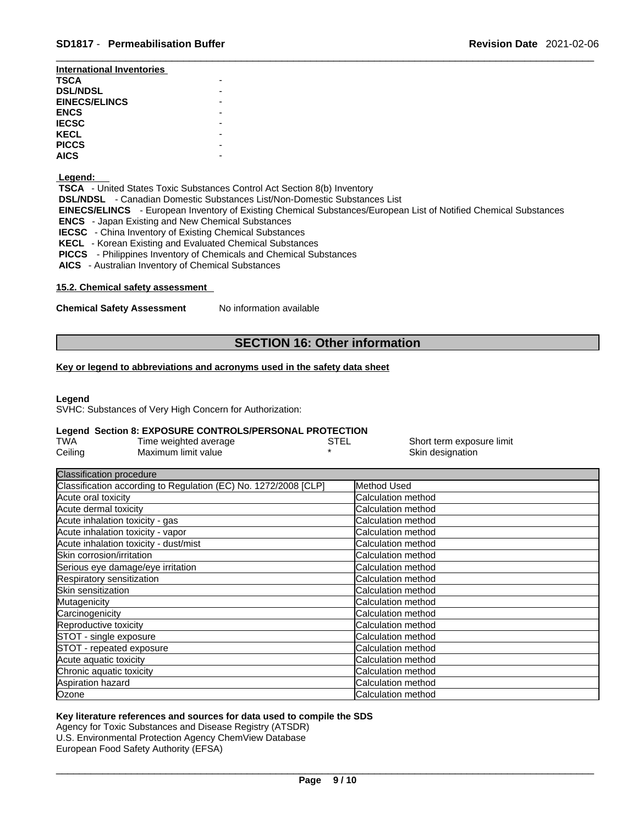| International Inventories |  |
|---------------------------|--|
| <b>TSCA</b>               |  |
| <b>DSL/NDSL</b>           |  |
| <b>EINECS/ELINCS</b>      |  |
| <b>ENCS</b>               |  |
| <b>IECSC</b>              |  |
| <b>KECL</b>               |  |
| <b>PICCS</b>              |  |
| <b>AICS</b>               |  |

#### **Legend:**

 **TSCA** - United States Toxic Substances Control Act Section 8(b) Inventory

 **DSL/NDSL** - Canadian Domestic Substances List/Non-Domestic Substances List

 **EINECS/ELINCS** - European Inventory of Existing Chemical Substances/European List of Notified Chemical Substances  **ENCS** - Japan Existing and New Chemical Substances

 **IECSC** - China Inventory of Existing Chemical Substances

 **KECL** - Korean Existing and Evaluated Chemical Substances

 **PICCS** - Philippines Inventory of Chemicals and Chemical Substances

 **AICS** - Australian Inventory of Chemical Substances

#### **15.2. Chemical safety assessment**

**Chemical Safety Assessment** No information available

## **SECTION 16: Other information**

### **Key or legend to abbreviations and acronyms used in the safety data sheet**

#### **Legend**

SVHC: Substances of Very High Concern for Authorization:

#### **Legend Section 8: EXPOSURE CONTROLS/PERSONAL PROTECTION**

| TWA     | Time weighted average | STE∟ | Short term exposure limit |
|---------|-----------------------|------|---------------------------|
| Ceiling | Maximum limit value   |      | Skin designation          |

| <b>Classification procedure</b>                                 |                            |
|-----------------------------------------------------------------|----------------------------|
| Classification according to Regulation (EC) No. 1272/2008 [CLP] | Method Used                |
| Acute oral toxicity                                             | Calculation method         |
| Acute dermal toxicity                                           | Calculation method         |
| Acute inhalation toxicity - gas                                 | <b>Calculation method</b>  |
| Acute inhalation toxicity - vapor                               | <b>Calculation method</b>  |
| Acute inhalation toxicity - dust/mist                           | <b>ICalculation method</b> |
| Skin corrosion/irritation                                       | <b>Calculation method</b>  |
| Serious eye damage/eye irritation                               | Calculation method         |
| Respiratory sensitization                                       | Calculation method         |
| Skin sensitization                                              | <b>ICalculation method</b> |
| Mutagenicity                                                    | <b>Calculation method</b>  |
| Carcinogenicity                                                 | <b>Calculation method</b>  |
| Reproductive toxicity                                           | <b>Calculation method</b>  |
| STOT - single exposure                                          | <b>Calculation method</b>  |
| STOT - repeated exposure                                        | Calculation method         |
| Acute aquatic toxicity                                          | Calculation method         |
| Chronic aquatic toxicity                                        | Calculation method         |
| Aspiration hazard                                               | Calculation method         |
| Ozone                                                           | Calculation method         |

#### **Key literature references and sources for data used to compile the SDS**

Agency for Toxic Substances and Disease Registry (ATSDR) U.S. Environmental Protection Agency ChemView Database European Food Safety Authority (EFSA)